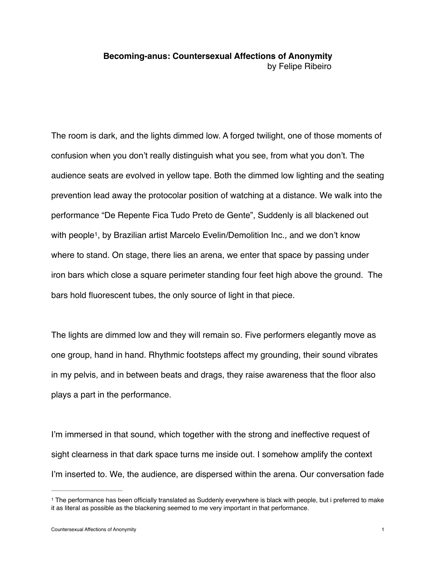## **Becoming-anus: Countersexual Affections of Anonymity** by Felipe Ribeiro

The room is dark, and the lights dimmed low. A forged twilight, one of those moments of confusion when you don't really distinguish what you see, from what you don't. The audience seats are evolved in yellow tape. Both the dimmed low lighting and the seating prevention lead away the protocolar position of watching at a distance. We walk into the performance "De Repente Fica Tudo Preto de Gente", Suddenly is all blackened out with people<sup>1</sup>, by Brazilian artist Marcelo Evelin/Demolition Inc., and we don't know where to stand. On stage, there lies an arena, we enter that space by passing under iron bars which close a square perimeter standing four feet high above the ground. The bars hold fluorescent tubes, the only source of light in that piece.

The lights are dimmed low and they will remain so. Five performers elegantly move as one group, hand in hand. Rhythmic footsteps affect my grounding, their sound vibrates in my pelvis, and in between beats and drags, they raise awareness that the floor also plays a part in the performance.

I'm immersed in that sound, which together with the strong and ineffective request of sight clearness in that dark space turns me inside out. I somehow amplify the context I'm inserted to. We, the audience, are dispersed within the arena. Our conversation fade

<sup>&</sup>lt;sup>1</sup> The performance has been officially translated as Suddenly everywhere is black with people, but i preferred to make it as literal as possible as the blackening seemed to me very important in that performance.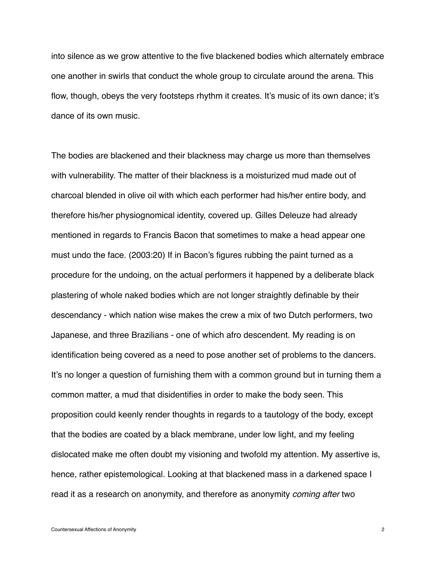into silence as we grow attentive to the five blackened bodies which alternately embrace one another in swirls that conduct the whole group to circulate around the arena. This flow, though, obeys the very footsteps rhythm it creates. It's music of its own dance; it's dance of its own music.

The bodies are blackened and their blackness may charge us more than themselves with vulnerability. The matter of their blackness is a moisturized mud made out of charcoal blended in olive oil with which each performer had his/her entire body, and therefore his/her physiognomical identity, covered up. Gilles Deleuze had already mentioned in regards to Francis Bacon that sometimes to make a head appear one must undo the face. (2003:20) If in Bacon's figures rubbing the paint turned as a procedure for the undoing, on the actual performers it happened by a deliberate black plastering of whole naked bodies which are not longer straightly definable by their descendancy - which nation wise makes the crew a mix of two Dutch performers, two Japanese, and three Brazilians - one of which afro descendent. My reading is on identification being covered as a need to pose another set of problems to the dancers. It's no longer a question of furnishing them with a common ground but in turning them a common matter, a mud that disidentifies in order to make the body seen. This proposition could keenly render thoughts in regards to a tautology of the body, except that the bodies are coated by a black membrane, under low light, and my feeling dislocated make me often doubt my visioning and twofold my attention. My assertive is, hence, rather epistemological. Looking at that blackened mass in a darkened space I read it as a research on anonymity, and therefore as anonymity *coming after* two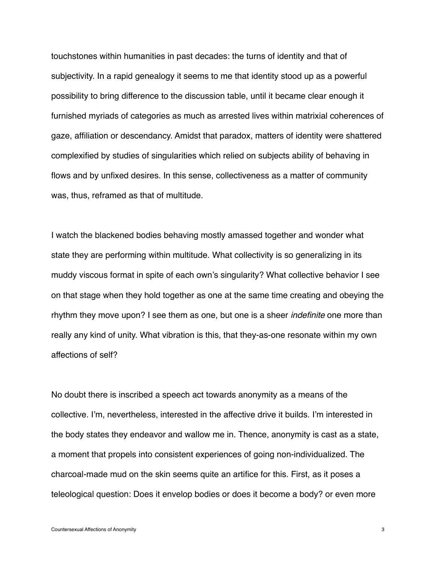touchstones within humanities in past decades: the turns of identity and that of subjectivity. In a rapid genealogy it seems to me that identity stood up as a powerful possibility to bring difference to the discussion table, until it became clear enough it furnished myriads of categories as much as arrested lives within matrixial coherences of gaze, affiliation or descendancy. Amidst that paradox, matters of identity were shattered complexified by studies of singularities which relied on subjects ability of behaving in flows and by unfixed desires. In this sense, collectiveness as a matter of community was, thus, reframed as that of multitude.

I watch the blackened bodies behaving mostly amassed together and wonder what state they are performing within multitude. What collectivity is so generalizing in its muddy viscous format in spite of each own's singularity? What collective behavior I see on that stage when they hold together as one at the same time creating and obeying the rhythm they move upon? I see them as one, but one is a sheer *indefinite* one more than really any kind of unity. What vibration is this, that they-as-one resonate within my own affections of self?

No doubt there is inscribed a speech act towards anonymity as a means of the collective. I'm, nevertheless, interested in the affective drive it builds. I'm interested in the body states they endeavor and wallow me in. Thence, anonymity is cast as a state, a moment that propels into consistent experiences of going non-individualized. The charcoal-made mud on the skin seems quite an artifice for this. First, as it poses a teleological question: Does it envelop bodies or does it become a body? or even more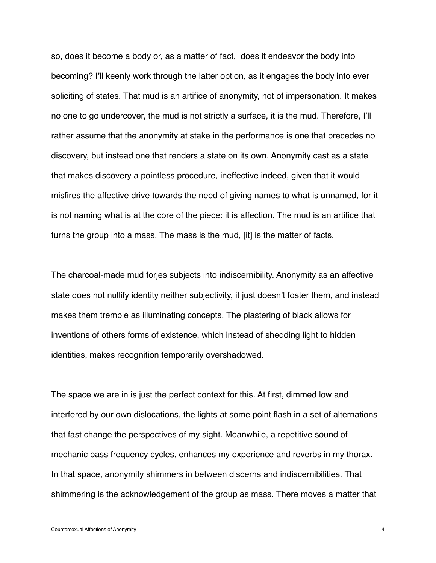so, does it become a body or, as a matter of fact, does it endeavor the body into becoming? I'll keenly work through the latter option, as it engages the body into ever soliciting of states. That mud is an artifice of anonymity, not of impersonation. It makes no one to go undercover, the mud is not strictly a surface, it is the mud. Therefore, I'll rather assume that the anonymity at stake in the performance is one that precedes no discovery, but instead one that renders a state on its own. Anonymity cast as a state that makes discovery a pointless procedure, ineffective indeed, given that it would misfires the affective drive towards the need of giving names to what is unnamed, for it is not naming what is at the core of the piece: it is affection. The mud is an artifice that turns the group into a mass. The mass is the mud, [it] is the matter of facts.

The charcoal-made mud forjes subjects into indiscernibility. Anonymity as an affective state does not nullify identity neither subjectivity, it just doesn't foster them, and instead makes them tremble as illuminating concepts. The plastering of black allows for inventions of others forms of existence, which instead of shedding light to hidden identities, makes recognition temporarily overshadowed.

The space we are in is just the perfect context for this. At first, dimmed low and interfered by our own dislocations, the lights at some point flash in a set of alternations that fast change the perspectives of my sight. Meanwhile, a repetitive sound of mechanic bass frequency cycles, enhances my experience and reverbs in my thorax. In that space, anonymity shimmers in between discerns and indiscernibilities. That shimmering is the acknowledgement of the group as mass. There moves a matter that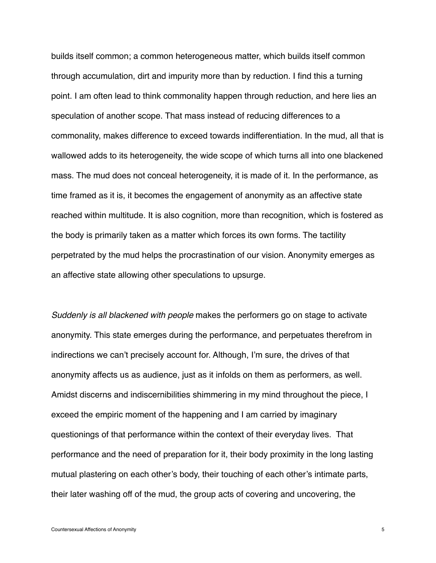builds itself common; a common heterogeneous matter, which builds itself common through accumulation, dirt and impurity more than by reduction. I find this a turning point. I am often lead to think commonality happen through reduction, and here lies an speculation of another scope. That mass instead of reducing differences to a commonality, makes difference to exceed towards indifferentiation. In the mud, all that is wallowed adds to its heterogeneity, the wide scope of which turns all into one blackened mass. The mud does not conceal heterogeneity, it is made of it. In the performance, as time framed as it is, it becomes the engagement of anonymity as an affective state reached within multitude. It is also cognition, more than recognition, which is fostered as the body is primarily taken as a matter which forces its own forms. The tactility perpetrated by the mud helps the procrastination of our vision. Anonymity emerges as an affective state allowing other speculations to upsurge.

*Suddenly is all blackened with people* makes the performers go on stage to activate anonymity. This state emerges during the performance, and perpetuates therefrom in indirections we can't precisely account for. Although, I'm sure, the drives of that anonymity affects us as audience, just as it infolds on them as performers, as well. Amidst discerns and indiscernibilities shimmering in my mind throughout the piece, I exceed the empiric moment of the happening and I am carried by imaginary questionings of that performance within the context of their everyday lives. That performance and the need of preparation for it, their body proximity in the long lasting mutual plastering on each other's body, their touching of each other's intimate parts, their later washing off of the mud, the group acts of covering and uncovering, the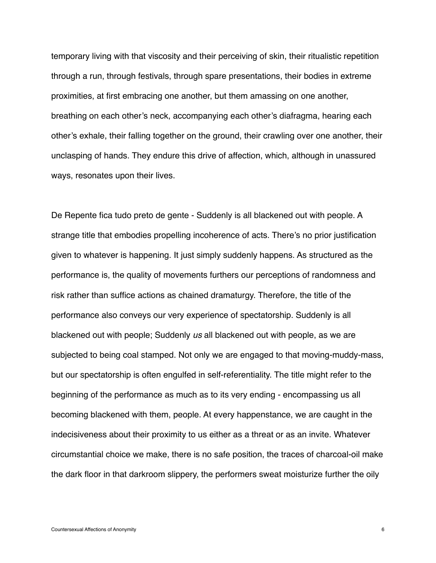temporary living with that viscosity and their perceiving of skin, their ritualistic repetition through a run, through festivals, through spare presentations, their bodies in extreme proximities, at first embracing one another, but them amassing on one another, breathing on each other's neck, accompanying each other's diafragma, hearing each other's exhale, their falling together on the ground, their crawling over one another, their unclasping of hands. They endure this drive of affection, which, although in unassured ways, resonates upon their lives.

De Repente fica tudo preto de gente - Suddenly is all blackened out with people. A strange title that embodies propelling incoherence of acts. There's no prior justification given to whatever is happening. It just simply suddenly happens. As structured as the performance is, the quality of movements furthers our perceptions of randomness and risk rather than suffice actions as chained dramaturgy. Therefore, the title of the performance also conveys our very experience of spectatorship. Suddenly is all blackened out with people; Suddenly *us* all blackened out with people, as we are subjected to being coal stamped. Not only we are engaged to that moving-muddy-mass, but our spectatorship is often engulfed in self-referentiality. The title might refer to the beginning of the performance as much as to its very ending - encompassing us all becoming blackened with them, people. At every happenstance, we are caught in the indecisiveness about their proximity to us either as a threat or as an invite. Whatever circumstantial choice we make, there is no safe position, the traces of charcoal-oil make the dark floor in that darkroom slippery, the performers sweat moisturize further the oily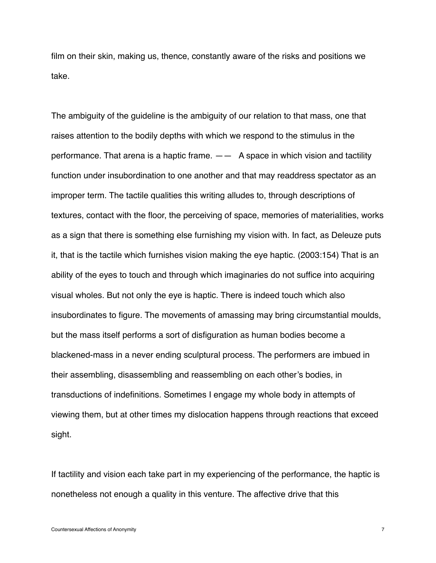film on their skin, making us, thence, constantly aware of the risks and positions we take.

The ambiguity of the guideline is the ambiguity of our relation to that mass, one that raises attention to the bodily depths with which we respond to the stimulus in the performance. That arena is a haptic frame.  $-\frac{1}{2}$  A space in which vision and tactility function under insubordination to one another and that may readdress spectator as an improper term. The tactile qualities this writing alludes to, through descriptions of textures, contact with the floor, the perceiving of space, memories of materialities, works as a sign that there is something else furnishing my vision with. In fact, as Deleuze puts it, that is the tactile which furnishes vision making the eye haptic. (2003:154) That is an ability of the eyes to touch and through which imaginaries do not suffice into acquiring visual wholes. But not only the eye is haptic. There is indeed touch which also insubordinates to figure. The movements of amassing may bring circumstantial moulds, but the mass itself performs a sort of disfiguration as human bodies become a blackened-mass in a never ending sculptural process. The performers are imbued in their assembling, disassembling and reassembling on each other's bodies, in transductions of indefinitions. Sometimes I engage my whole body in attempts of viewing them, but at other times my dislocation happens through reactions that exceed sight.

If tactility and vision each take part in my experiencing of the performance, the haptic is nonetheless not enough a quality in this venture. The affective drive that this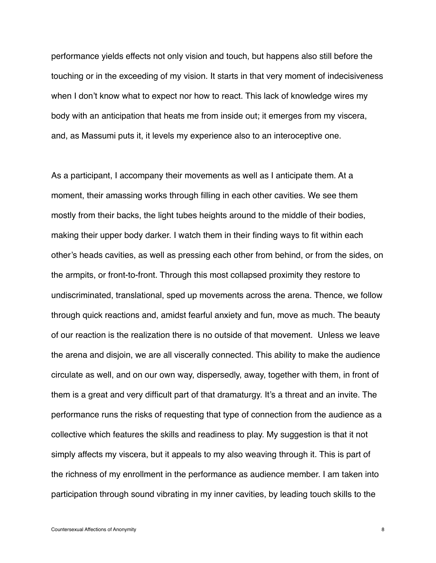performance yields effects not only vision and touch, but happens also still before the touching or in the exceeding of my vision. It starts in that very moment of indecisiveness when I don't know what to expect nor how to react. This lack of knowledge wires my body with an anticipation that heats me from inside out; it emerges from my viscera, and, as Massumi puts it, it levels my experience also to an interoceptive one.

As a participant, I accompany their movements as well as I anticipate them. At a moment, their amassing works through filling in each other cavities. We see them mostly from their backs, the light tubes heights around to the middle of their bodies, making their upper body darker. I watch them in their finding ways to fit within each other's heads cavities, as well as pressing each other from behind, or from the sides, on the armpits, or front-to-front. Through this most collapsed proximity they restore to undiscriminated, translational, sped up movements across the arena. Thence, we follow through quick reactions and, amidst fearful anxiety and fun, move as much. The beauty of our reaction is the realization there is no outside of that movement. Unless we leave the arena and disjoin, we are all viscerally connected. This ability to make the audience circulate as well, and on our own way, dispersedly, away, together with them, in front of them is a great and very difficult part of that dramaturgy. It's a threat and an invite. The performance runs the risks of requesting that type of connection from the audience as a collective which features the skills and readiness to play. My suggestion is that it not simply affects my viscera, but it appeals to my also weaving through it. This is part of the richness of my enrollment in the performance as audience member. I am taken into participation through sound vibrating in my inner cavities, by leading touch skills to the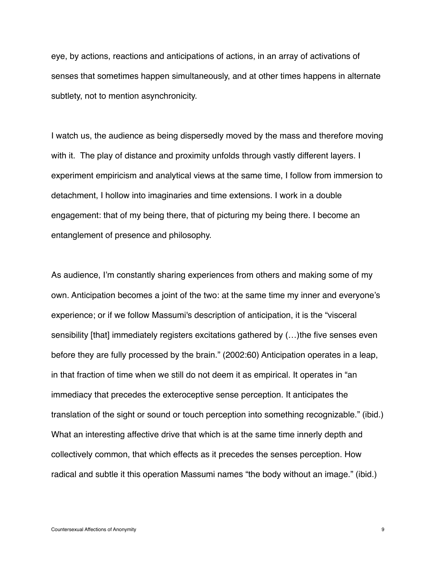eye, by actions, reactions and anticipations of actions, in an array of activations of senses that sometimes happen simultaneously, and at other times happens in alternate subtlety, not to mention asynchronicity.

I watch us, the audience as being dispersedly moved by the mass and therefore moving with it. The play of distance and proximity unfolds through vastly different layers. I experiment empiricism and analytical views at the same time, I follow from immersion to detachment, I hollow into imaginaries and time extensions. I work in a double engagement: that of my being there, that of picturing my being there. I become an entanglement of presence and philosophy.

As audience, I'm constantly sharing experiences from others and making some of my own. Anticipation becomes a joint of the two: at the same time my inner and everyone's experience; or if we follow Massumi's description of anticipation, it is the "visceral sensibility [that] immediately registers excitations gathered by (…)the five senses even before they are fully processed by the brain." (2002:60) Anticipation operates in a leap, in that fraction of time when we still do not deem it as empirical. It operates in "an immediacy that precedes the exteroceptive sense perception. It anticipates the translation of the sight or sound or touch perception into something recognizable." (ibid.) What an interesting affective drive that which is at the same time innerly depth and collectively common, that which effects as it precedes the senses perception. How radical and subtle it this operation Massumi names "the body without an image." (ibid.)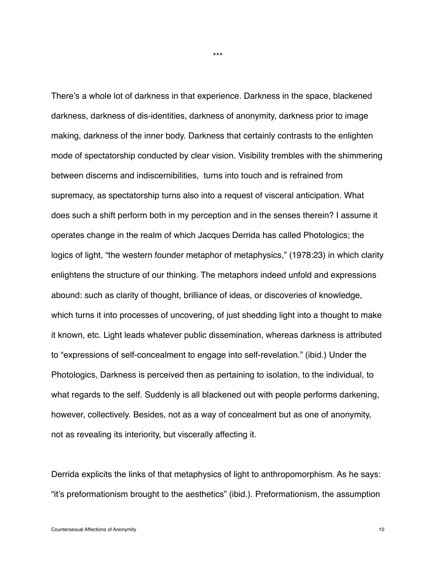There's a whole lot of darkness in that experience. Darkness in the space, blackened darkness, darkness of dis-identities, darkness of anonymity, darkness prior to image making, darkness of the inner body. Darkness that certainly contrasts to the enlighten mode of spectatorship conducted by clear vision. Visibility trembles with the shimmering between discerns and indiscernibilities, turns into touch and is refrained from supremacy, as spectatorship turns also into a request of visceral anticipation. What does such a shift perform both in my perception and in the senses therein? I assume it operates change in the realm of which Jacques Derrida has called Photologics; the logics of light, "the western founder metaphor of metaphysics," (1978:23) in which clarity enlightens the structure of our thinking. The metaphors indeed unfold and expressions abound: such as clarity of thought, brilliance of ideas, or discoveries of knowledge, which turns it into processes of uncovering, of just shedding light into a thought to make it known, etc. Light leads whatever public dissemination, whereas darkness is attributed to "expressions of self-concealment to engage into self-revelation." (ibid.) Under the Photologics, Darkness is perceived then as pertaining to isolation, to the individual, to what regards to the self. Suddenly is all blackened out with people performs darkening, however, collectively. Besides, not as a way of concealment but as one of anonymity, not as revealing its interiority, but viscerally affecting it.

Derrida explicits the links of that metaphysics of light to anthropomorphism. As he says: "it's preformationism brought to the aesthetics" (ibid.). Preformationism, the assumption

\*\*\*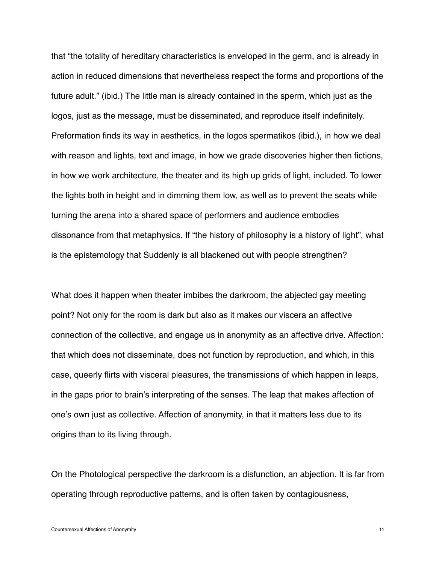that "the totality of hereditary characteristics is enveloped in the germ, and is already in action in reduced dimensions that nevertheless respect the forms and proportions of the future adult." (ibid.) The little man is already contained in the sperm, which just as the logos, just as the message, must be disseminated, and reproduce itself indefinitely. Preformation finds its way in aesthetics, in the logos spermatikos (ibid.), in how we deal with reason and lights, text and image, in how we grade discoveries higher then fictions, in how we work architecture, the theater and its high up grids of light, included. To lower the lights both in height and in dimming them low, as well as to prevent the seats while turning the arena into a shared space of performers and audience embodies dissonance from that metaphysics. If "the history of philosophy is a history of light", what is the epistemology that Suddenly is all blackened out with people strengthen?

What does it happen when theater imbibes the darkroom, the abjected gay meeting point? Not only for the room is dark but also as it makes our viscera an affective connection of the collective, and engage us in anonymity as an affective drive. Affection: that which does not disseminate, does not function by reproduction, and which, in this case, queerly flirts with visceral pleasures, the transmissions of which happen in leaps, in the gaps prior to brain's interpreting of the senses. The leap that makes affection of one's own just as collective. Affection of anonymity, in that it matters less due to its origins than to its living through.

On the Photological perspective the darkroom is a disfunction, an abjection. It is far from operating through reproductive patterns, and is often taken by contagiousness,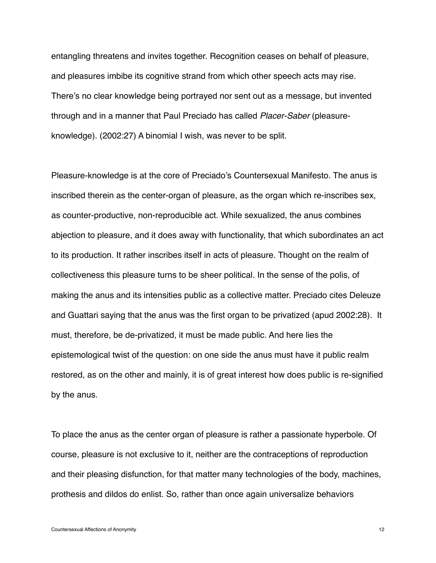entangling threatens and invites together. Recognition ceases on behalf of pleasure, and pleasures imbibe its cognitive strand from which other speech acts may rise. There's no clear knowledge being portrayed nor sent out as a message, but invented through and in a manner that Paul Preciado has called *Placer-Saber* (pleasureknowledge). (2002:27) A binomial I wish, was never to be split.

Pleasure-knowledge is at the core of Preciado's Countersexual Manifesto. The anus is inscribed therein as the center-organ of pleasure, as the organ which re-inscribes sex, as counter-productive, non-reproducible act. While sexualized, the anus combines abjection to pleasure, and it does away with functionality, that which subordinates an act to its production. It rather inscribes itself in acts of pleasure. Thought on the realm of collectiveness this pleasure turns to be sheer political. In the sense of the polis, of making the anus and its intensities public as a collective matter. Preciado cites Deleuze and Guattari saying that the anus was the first organ to be privatized (apud 2002:28). It must, therefore, be de-privatized, it must be made public. And here lies the epistemological twist of the question: on one side the anus must have it public realm restored, as on the other and mainly, it is of great interest how does public is re-signified by the anus.

To place the anus as the center organ of pleasure is rather a passionate hyperbole. Of course, pleasure is not exclusive to it, neither are the contraceptions of reproduction and their pleasing disfunction, for that matter many technologies of the body, machines, prothesis and dildos do enlist. So, rather than once again universalize behaviors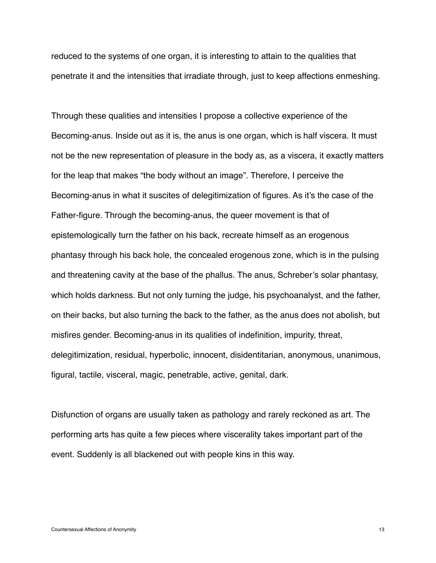reduced to the systems of one organ, it is interesting to attain to the qualities that penetrate it and the intensities that irradiate through, just to keep affections enmeshing.

Through these qualities and intensities I propose a collective experience of the Becoming-anus. Inside out as it is, the anus is one organ, which is half viscera. It must not be the new representation of pleasure in the body as, as a viscera, it exactly matters for the leap that makes "the body without an image". Therefore, I perceive the Becoming-anus in what it suscites of delegitimization of figures. As it's the case of the Father-figure. Through the becoming-anus, the queer movement is that of epistemologically turn the father on his back, recreate himself as an erogenous phantasy through his back hole, the concealed erogenous zone, which is in the pulsing and threatening cavity at the base of the phallus. The anus, Schreber's solar phantasy, which holds darkness. But not only turning the judge, his psychoanalyst, and the father, on their backs, but also turning the back to the father, as the anus does not abolish, but misfires gender. Becoming-anus in its qualities of indefinition, impurity, threat, delegitimization, residual, hyperbolic, innocent, disidentitarian, anonymous, unanimous, figural, tactile, visceral, magic, penetrable, active, genital, dark.

Disfunction of organs are usually taken as pathology and rarely reckoned as art. The performing arts has quite a few pieces where viscerality takes important part of the event. Suddenly is all blackened out with people kins in this way.